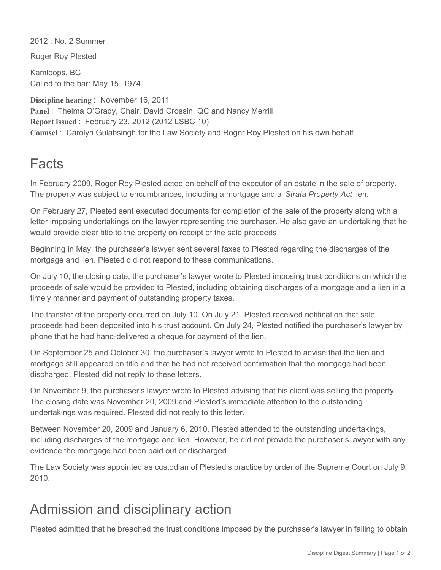2012 : No. 2 Summer

Roger Roy Plested

Kamloops, BC Called to the bar: May 15, 1974

**Discipline hearing** : November 16, 2011 Panel : Thelma O'Grady, Chair, David Crossin, QC and Nancy Merrill **Report issued** : February 23, 2012 (2012 LSBC 10) **Counsel** : Carolyn Gulabsingh for the Law Society and Roger Roy Plested on his own behalf

## Facts

In February 2009, Roger Roy Plested acted on behalf of the executor of an estate in the sale of property. The property was subject to encumbrances, including a mortgage and a *Strata Property Act* lien.

On February 27, Plested sent executed documents for completion of the sale of the property along with a letter imposing undertakings on the lawyer representing the purchaser. He also gave an undertaking that he would provide clear title to the property on receipt of the sale proceeds.

Beginning in May, the purchaser's lawyer sent several faxes to Plested regarding the discharges of the mortgage and lien. Plested did not respond to these communications.

On July 10, the closing date, the purchaser's lawyer wrote to Plested imposing trust conditions on which the proceeds of sale would be provided to Plested, including obtaining discharges of a mortgage and a lien in a timely manner and payment of outstanding property taxes.

The transfer of the property occurred on July 10. On July 21, Plested received notification that sale proceeds had been deposited into his trust account. On July 24, Plested notified the purchaser's lawyer by phone that he had hand-delivered a cheque for payment of the lien.

On September 25 and October 30, the purchaser's lawyer wrote to Plested to advise that the lien and mortgage still appeared on title and that he had not received confirmation that the mortgage had been discharged. Plested did not reply to these letters.

On November 9, the purchaser's lawyer wrote to Plested advising that his client was selling the property. The closing date was November 20, 2009 and Plested's immediate attention to the outstanding undertakings was required. Plested did not reply to this letter.

Between November 20, 2009 and January 6, 2010, Plested attended to the outstanding undertakings, including discharges of the mortgage and lien. However, he did not provide the purchaser's lawyer with any evidence the mortgage had been paid out or discharged.

The Law Society was appointed as custodian of Plested's practice by order of the Supreme Court on July 9, 2010.

## Admission and disciplinary action

Plested admitted that he breached the trust conditions imposed by the purchaser's lawyer in failing to obtain the discharges of the mortgage and lien. He also admitted that he failed to respond reasonably promptly or